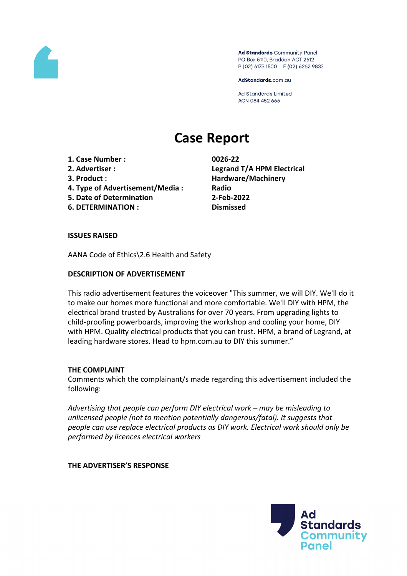

Ad Standards Community Panel PO Box 5110, Braddon ACT 2612 P (02) 6173 1500 | F (02) 6262 9833

AdStandards.com.au

**Ad Standards Limited** ACN 084 452 666

# **Case Report**

- **1. Case Number : 0026-22**
- 
- 
- **4. Type of Advertisement/Media : Radio**
- **5. Date of Determination 2-Feb-2022**
- **6. DETERMINATION : Dismissed**

**2. Advertiser : Legrand T/A HPM Electrical 3. Product : Hardware/Machinery**

## **ISSUES RAISED**

AANA Code of Ethics\2.6 Health and Safety

## **DESCRIPTION OF ADVERTISEMENT**

This radio advertisement features the voiceover "This summer, we will DIY. We'll do it to make our homes more functional and more comfortable. We'll DIY with HPM, the electrical brand trusted by Australians for over 70 years. From upgrading lights to child-proofing powerboards, improving the workshop and cooling your home, DIY with HPM. Quality electrical products that you can trust. HPM, a brand of Legrand, at leading hardware stores. Head to hpm.com.au to DIY this summer."

#### **THE COMPLAINT**

Comments which the complainant/s made regarding this advertisement included the following:

*Advertising that people can perform DIY electrical work – may be misleading to unlicensed people (not to mention potentially dangerous/fatal). It suggests that people can use replace electrical products as DIY work. Electrical work should only be performed by licences electrical workers*

**THE ADVERTISER'S RESPONSE**

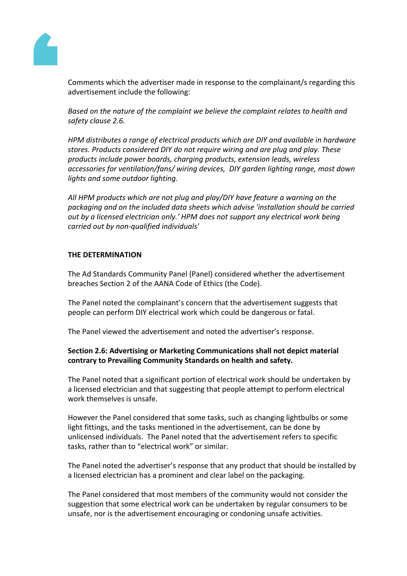

Comments which the advertiser made in response to the complainant/s regarding this advertisement include the following:

*Based on the nature of the complaint we believe the complaint relates to health and safety clause 2.6.*

*HPM distributes a range of electrical products which are DIY and available in hardware stores. Products considered DIY do not require wiring and are plug and play. These products include power boards, charging products, extension leads, wireless accessories for ventilation/fans/ wiring devices, DIY garden lighting range, most down lights and some outdoor lighting.*

*All HPM products which are not plug and play/DIY have feature a warning on the packaging and on the included data sheets which advise 'installation should be carried out by a licensed electrician only.' HPM does not support any electrical work being carried out by non-qualified individuals'*

#### **THE DETERMINATION**

The Ad Standards Community Panel (Panel) considered whether the advertisement breaches Section 2 of the AANA Code of Ethics (the Code).

The Panel noted the complainant's concern that the advertisement suggests that people can perform DIY electrical work which could be dangerous or fatal.

The Panel viewed the advertisement and noted the advertiser's response.

## **Section 2.6: Advertising or Marketing Communications shall not depict material contrary to Prevailing Community Standards on health and safety.**

The Panel noted that a significant portion of electrical work should be undertaken by a licensed electrician and that suggesting that people attempt to perform electrical work themselves is unsafe.

However the Panel considered that some tasks, such as changing lightbulbs or some light fittings, and the tasks mentioned in the advertisement, can be done by unlicensed individuals. The Panel noted that the advertisement refers to specific tasks, rather than to "electrical work" or similar.

The Panel noted the advertiser's response that any product that should be installed by a licensed electrician has a prominent and clear label on the packaging.

The Panel considered that most members of the community would not consider the suggestion that some electrical work can be undertaken by regular consumers to be unsafe, nor is the advertisement encouraging or condoning unsafe activities.